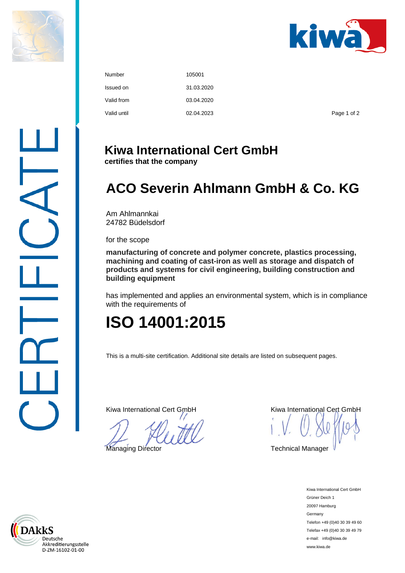



| Number      | 105001     |             |
|-------------|------------|-------------|
| Issued on   | 31.03.2020 |             |
| Valid from  | 03.04.2020 |             |
| Valid until | 02.04.2023 | Page 1 of 2 |

## **Kiwa International Cert GmbH**

**certifies that the company**

# **ACO Severin Ahlmann GmbH & Co. KG**

Am Ahlmannkai 24782 Büdelsdorf

for the scope

**manufacturing of concrete and polymer concrete, plastics processing, machining and coating of cast-iron as well as storage and dispatch of products and systems for civil engineering, building construction and building equipment**

has implemented and applies an environmental system, which is in compliance with the requirements of

# **ISO 14001:2015**

This is a multi-site certification. Additional site details are listed on subsequent pages.

Kiwa International Cert GmbH Kiwa International Cert GmbH

Managing Director **Technical Manager** Technical Manager

Kiwa International Cert GmbH Grüner Deich 1 20097 Hamburg Germany Telefon +49 (0)40 30 39 49 60 Telefax +49 (0)40 30 39 49 79 e-mail: info@kiwa.de www.kiwa.de